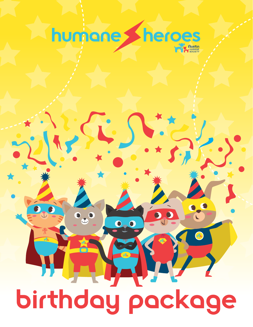

# birthday package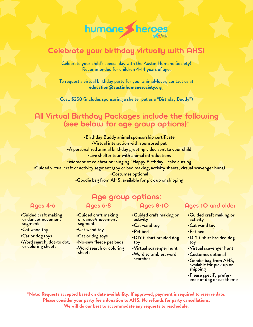

### Celebrate your birthday virtually with AHS!

Celebrate your child's special day with the Austin Humane Society! Recommended for children 4-14 years of age.

To request a virtual birthday party for your animal-lover, contact us at [education@austinhumanesociety.org](mailto:education%40austinhumanesociety.org?subject=).

Cost: \$250 (includes sponsoring a shelter pet as a "Birthday Buddy")

# All Virtual Birthday Packages include the following (see below for age group options):

•Birthday Buddy animal sponsorship certificate •Virtual interaction with sponsored pet •A personalized animal birthday greeting video sent to your child •Live shelter tour with animal introductions

•Moment of celebration: singing "Happy Birthday", cake cutting

•Guided virtual craft or activity segment (toy or bed making, activity sheets, virtual scavenger hunt)

•Costumes optional

•Goodie bag from AHS, available for pick up or shipping

•Guided craft making or dance/movement segment

- •Cat wand toy
- •Cat or dog toys
- •Word search, dot-to dot, or coloring sheets

### Age group options:

•Guided craft making or dance/movement

•No-sew fleece pet beds •Word search or coloring

segment •Cat wand toy •Cat or dog toys

sheets

- •Guided craft making or activity
- •Cat wand toy
- •Pet bed
- •DIY t-shirt braided dog toy
- •Virtual scavenger hunt
- •Word scrambles, word searches

#### Ages 4-6 Ages 6-8 Ages 8-10 Ages 10 and older

- •Guided craft making or activity
- •Cat wand toy
- •Pet bed
- •DIY t-shirt braided dog toy
- •Virtual scavenger hunt
- •Costumes optional
- •Goodie bag from AHS, available for pick up or shipping
- •Please specify prefer-<br>ence of dog or cat theme

\*Note: Requests accepted based on date availability. If approved, payment is required to reserve date. Please consider your party fee a donation to AHS. No refunds for party cancellations. We will do our best to accommodate any requests to reschedule.